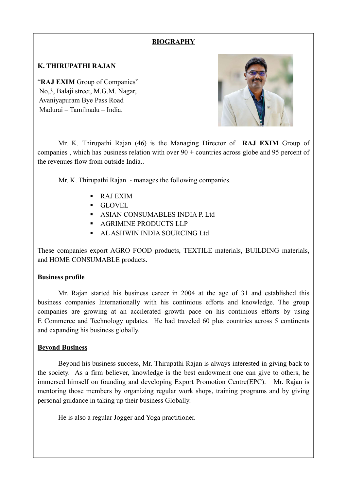### **BIOGRAPHY**

# K. THIRUPATHI RAJAN

"RAJ EXIM Group of Companies" No,3, Balaji street, M.G.M. Nagar, Avaniyapuram Bye Pass Road Madurai – Tamilnadu – India.



Mr. K. Thirupathi Rajan (46) is the Managing Director of RAJ EXIM Group of companies, which has business relation with over  $90 +$  countries across globe and 95 percent of the revenues flow from outside India..

Mr. K. Thirupathi Rajan - manages the following companies.

- RAJ EXIM
- GLOVEL
- **ASIAN CONSUMABLES INDIA P. Ltd.**
- **AGRIMINE PRODUCTS LLP**
- AL ASHWIN INDIA SOURCING Ltd

These companies export AGRO FOOD products, TEXTILE materials, BUILDING materials, and HOME CONSUMABLE products.

### Business profile

Mr. Rajan started his business career in 2004 at the age of 31 and established this business companies Internationally with his continious efforts and knowledge. The group companies are growing at an accilerated growth pace on his continious efforts by using E Commerce and Technology updates. He had traveled 60 plus countries across 5 continents and expanding his business globally.

### Beyond Business

Beyond his business success, Mr. Thirupathi Rajan is always interested in giving back to the society. As a firm believer, knowledge is the best endowment one can give to others, he immersed himself on founding and developing Export Promotion Centre(EPC). Mr. Rajan is mentoring those members by organizing regular work shops, training programs and by giving personal guidance in taking up their business Globally.

He is also a regular Jogger and Yoga practitioner.